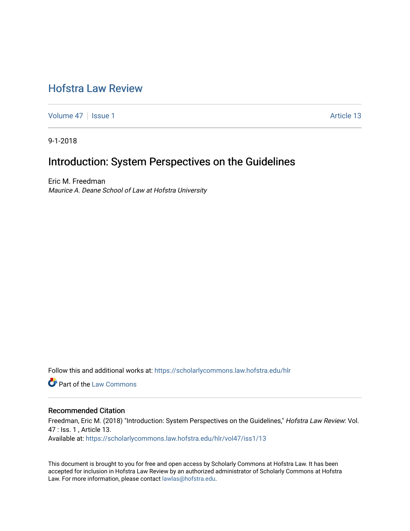# [Hofstra Law Review](https://scholarlycommons.law.hofstra.edu/hlr)

[Volume 47](https://scholarlycommons.law.hofstra.edu/hlr/vol47) | [Issue 1](https://scholarlycommons.law.hofstra.edu/hlr/vol47/iss1) Article 13

9-1-2018

# Introduction: System Perspectives on the Guidelines

Eric M. Freedman Maurice A. Deane School of Law at Hofstra University

Follow this and additional works at: [https://scholarlycommons.law.hofstra.edu/hlr](https://scholarlycommons.law.hofstra.edu/hlr?utm_source=scholarlycommons.law.hofstra.edu%2Fhlr%2Fvol47%2Fiss1%2F13&utm_medium=PDF&utm_campaign=PDFCoverPages)

Part of the [Law Commons](http://network.bepress.com/hgg/discipline/578?utm_source=scholarlycommons.law.hofstra.edu%2Fhlr%2Fvol47%2Fiss1%2F13&utm_medium=PDF&utm_campaign=PDFCoverPages)

### Recommended Citation

Freedman, Eric M. (2018) "Introduction: System Perspectives on the Guidelines," Hofstra Law Review: Vol. 47 : Iss. 1 , Article 13. Available at: [https://scholarlycommons.law.hofstra.edu/hlr/vol47/iss1/13](https://scholarlycommons.law.hofstra.edu/hlr/vol47/iss1/13?utm_source=scholarlycommons.law.hofstra.edu%2Fhlr%2Fvol47%2Fiss1%2F13&utm_medium=PDF&utm_campaign=PDFCoverPages) 

This document is brought to you for free and open access by Scholarly Commons at Hofstra Law. It has been accepted for inclusion in Hofstra Law Review by an authorized administrator of Scholarly Commons at Hofstra Law. For more information, please contact [lawlas@hofstra.edu.](mailto:lawlas@hofstra.edu)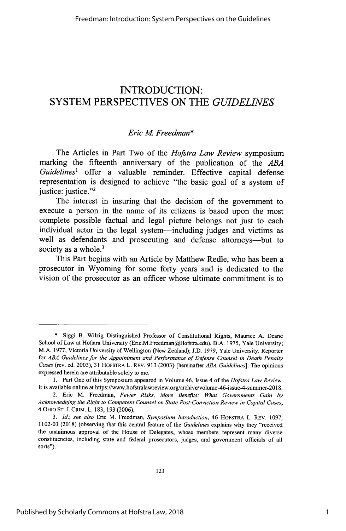## **INTRODUCTION:** SYSTEM PERSPECTIVES **ON** THE *GUIDELINES*

## *Eric M Freedman\**

The Articles in Part Two of the *Hofstra Law Review* symposium marking the fifteenth anniversary of the publication of the *ABA Guidelines<sup>1</sup>*offer a valuable reminder. Effective capital defense representation is designed to achieve "the basic goal of a system of justice: justice."<sup>2</sup>

The interest in insuring that the decision of the government to execute a person in the name of its citizens is based upon the most complete possible factual and legal picture belongs not just to each individual actor in the legal system-including judges and victims as well as defendants and prosecuting and defense attorneys—but to society as a whole.<sup>3</sup>

This Part begins with an Article **by** Matthew Redle, who has been a prosecutor in Wyoming for some forty years and is dedicated to the vision of the prosecutor as an officer whose ultimate commitment is to

<sup>\*</sup> Siggi B. Wilzig Distinguished Professor of Constitutional Rights, Maurice A. Deane School of Law at Hofstra University (Eric.M.Freedman@Hofstra.edu). B.A. 1975, Yale University; M.A. 1977, Victoria University of Wellington (New Zealand); J.D. 1979, Yale University. Reporter for *ABA Guidelines for the Appointment and Performance of Defense Counsel in Death Penalty Cases* (rev. ed. 2003), 31 HOFSTRA L. REv. 913 (2003) [hereinafter *ABA Guidelines].* The opinions expressed herein are attributable solely to me.

<sup>1.</sup> Part One of this Symposium appeared in Volume 46, Issue 4 of the *Hofstra Law Review.* It is available online at https://www.hofstralawreview.org/archive/volume-46-issue-4-summer-2018.

<sup>2.</sup> Eric M. Freedman, *Fewer Risks, More Benefits: What Governments Gain by Acknowledging the Right to Competent Counsel on State Post-Conviction Review in Capital Cases,* 4 OHIO ST. **J.** CRIM. L. 183, 193 (2006).

*<sup>3.</sup> Id.; see also* Eric M. Freedman, *Symposium Introduction,* 46 HOFSTRA L. REv. 1097, **1102-03** (2018) (observing that this central feature of the *Guidelines* explains why they "received the unanimous approval of the House of Delegates, whose members represent many diverse constituencies, including state and federal prosecutors, judges, and government officials of all sorts").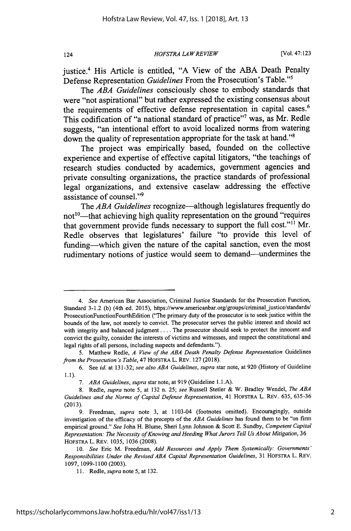*HOFSTRA LA W REVIEW*

justice.4 His Article is entitled, **"A** View of the **ABA** Death Penalty Defense Representation *Guidelines* From the Prosecution's Table."<sup>5</sup>

The *ABA Guidelines* consciously chose to embody standards that were "not aspirational" but rather expressed the existing consensus about the requirements of effective defense representation in capital cases.<sup>6</sup> This codification of "a national standard of practice"7 was, as Mr. Redle suggests, "an intentional effort to avoid localized norms from watering down the quality of representation appropriate for the task at hand."<sup>8</sup>

The project was empirically based, founded on the collective experience and expertise of effective capital litigators, "the teachings of research studies conducted **by** academics, government agencies and **private** consulting organizations, the practice standards of professional legal organizations, and extensive caselaw addressing the effective assistance of counsel."<sup>9</sup>

The *ABA Guidelines* recognize-although legislatures frequently do not<sup>10</sup>—that achieving high quality representation on the ground "requires that government provide funds necessary to support the full cost."<sup>11</sup> Mr. Redle observes that legislatures' failure "to provide this level of funding-which given the nature of the capital sanction, even the most rudimentary notions of justice would seem to demand-undermines the

*<sup>4.</sup> See* American Bar Association, Criminal Justice Standards for the Prosecution Function, Standard 3-1.2 (b) (4th ed. 2015), https://www.americanbar.org/groups/criminal\_justice/standards/ ProsecutionFunctionFourthEdition ("The primary duty of the prosecutor is to seek justice within the bounds of the law, not merely to convict. The prosecutor serves the public interest and should act with integrity and balanced judgment .... The prosecutor should seek to protect the innocent and convict the guilty, consider the interests of victims and witnesses, and respect the constitutional and legal rights of all persons, including suspects and defendants.").

<sup>5.</sup> Matthew Redle, *A View of the ABA Death Penalty Defense Representation* Guidelines *from the Prosecution's Table,* 47 HOFSTRA L. REV. 127 (2018).

<sup>6.</sup> See *id.* at 131-32; *see also ABA Guidelines, supra* star note, at 920 (History of Guideline 1.1).

<sup>7.</sup> ABA Guidelines, supra star note, at 919 (Guideline 1.1.A).

<sup>8.</sup> Redle, *supra* note 5, at 132 n. 25; *see* Russell Stetler & W. Bradley Wendel, *The ABA Guidelines and the Norms of Capital Defense Representation,* 41 HOFSTRA L. REV. 635, 635-36 (2013).

<sup>9.</sup> Freedman, *supra* note **3,** at 1103-04 (footnotes omitted). Encouragingly, outside investigation of the efficacy of the precepts of the *ABA Guidelines* has found them to be "on firm empirical ground." *See* John H. Blume, Sheri Lynn Johnson & Scott **E.** Sundby, *Competent Capital Representation: The Necessity of Knowing and Heeding What Jurors Tell Us About Mitigation,* <sup>36</sup> HOFSTRA L. REv. 1035, 1036 (2008).

<sup>10.</sup> *See* Eric M. Freedman, *Add Resources and Apply Them Systemically: Governments' Responsibilities Under the Revised ABA Capital Representation Guidelines,* 31 HOFSTRA L. REV. 1097, 1099-1100 (2003).

<sup>11.</sup> Redle, *supra note* 5, at 132.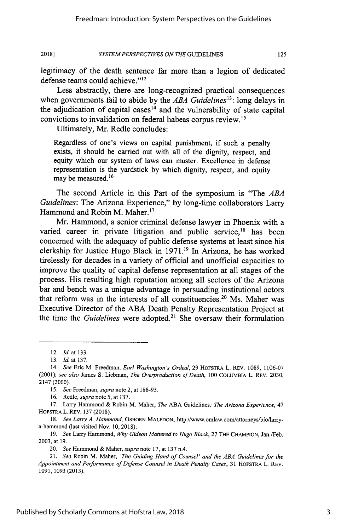125

#### *SYSTEMPERSPECTIVES ON THE* GUIDELINES **20181**

legitimacy of the death sentence far more than a legion of dedicated defense teams could achieve."<sup>12</sup>

Less abstractly, there are long-recognized practical consequences when governments fail to abide by the *ABA Guidelines<sup>3</sup> :* long delays in the adjudication of capital cases<sup>14</sup> and the vulnerability of state capital convictions to invalidation on federal habeas corpus review.<sup>15</sup>

Ultimately, Mr. Redle concludes:

Regardless of one's views on capital punishment, if such a penalty exists, it should be carried out with all of the dignity, respect, and equity which our system of laws can muster. Excellence in defense representation is the yardstick by which dignity, respect, and equity may be measured.<sup>16</sup>

The second Article in this Part of the symposium is "The *ABA Guidelines:* The Arizona Experience," by long-time collaborators Larry Hammond and Robin M. Maher.<sup>17</sup>

Mr. Hammond, a senior criminal defense lawyer in Phoenix with a varied career in private litigation and public service, $18$  has been concerned with the adequacy of public defense systems at least since his clerkship for Justice Hugo Black in **1971.'9** In Arizona, he has worked tirelessly for decades in a variety of official and unofficial capacities to improve the quality of capital defense representation at all stages of the process. His resulting high reputation among all sectors of the Arizona bar and bench was a unique advantage in persuading institutional actors that reform was in the interests of all constituencies.<sup>20</sup> Ms. Maher was Executive Director of the ABA Death Penalty Representation Project at the time the *Guidelines* were adopted.<sup>21</sup> She oversaw their formulation

<sup>12.</sup> *Id.* at 133.

<sup>13.</sup> *Id.* at 137.

<sup>14.</sup> *See* Eric M. Freedman, *Earl Washington's Ordeal,* 29 HOFSTRA L. REv. 1089, **1106-07** (2001); *see also* James **S.** Liebman, *The Overproduction of Death,* 100 COLUMBIA L. REV. 2030, 2147 (2000).

*<sup>15.</sup> See* Freedman, *supra* note 2, at 188-93.

<sup>16.</sup> Redle, *supra* note 5, at 137.

<sup>17.</sup> Larry Hammond & Robin M. Maher, *The* ABA Guidelines: *The Arizona Experience, 47* HOFSTRA L. REV. 137 (2018).

<sup>18.</sup> *See Larry A. Hammond,* OSBORN MALEDON, http://www.omlaw.com/attorneys/bio/larrya-hammond (last visited Nov. 10, 2018).

*<sup>19.</sup> See* Larry Hammond, *Why Gideon Mattered to Hugo Black,* 27 THE CHAMPION, Jan./Feb. 2003, at 19.

<sup>20.</sup> *See* Hammond & Maher, *supra* note 17, at 137 n.4.

*<sup>21.</sup> See* Robin M. Maher, *'The Guiding Hand of Counsel' and the ABA Guidelines for the Appointment and Performance of Defense Counsel in Death Penalty Cases,* 31 HOFSTRA L. REV. 1091,1093 (2013).